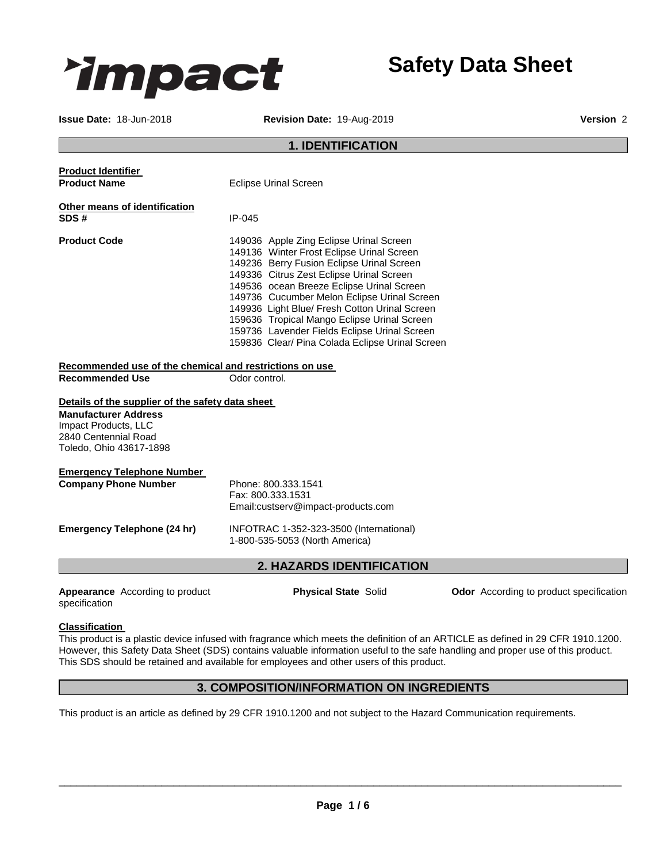

**Issue Date:** 18-Jun-2018 **Revision Date:** 19-Aug-2019 **Version** 2

|                                                                                                                                                            | <b>1. IDENTIFICATION</b>                                                                                                                                                                                                                                                                                                                                                                                                                                                     |
|------------------------------------------------------------------------------------------------------------------------------------------------------------|------------------------------------------------------------------------------------------------------------------------------------------------------------------------------------------------------------------------------------------------------------------------------------------------------------------------------------------------------------------------------------------------------------------------------------------------------------------------------|
| <b>Product Identifier</b><br><b>Product Name</b>                                                                                                           | <b>Eclipse Urinal Screen</b>                                                                                                                                                                                                                                                                                                                                                                                                                                                 |
| Other means of identification<br>SDS#                                                                                                                      | IP-045                                                                                                                                                                                                                                                                                                                                                                                                                                                                       |
| <b>Product Code</b>                                                                                                                                        | 149036 Apple Zing Eclipse Urinal Screen<br>149136 Winter Frost Eclipse Urinal Screen<br>149236 Berry Fusion Eclipse Urinal Screen<br>149336 Citrus Zest Eclipse Urinal Screen<br>149536 ocean Breeze Eclipse Urinal Screen<br>149736 Cucumber Melon Eclipse Urinal Screen<br>149936 Light Blue/ Fresh Cotton Urinal Screen<br>159636 Tropical Mango Eclipse Urinal Screen<br>159736 Lavender Fields Eclipse Urinal Screen<br>159836 Clear/ Pina Colada Eclipse Urinal Screen |
| Recommended use of the chemical and restrictions on use                                                                                                    |                                                                                                                                                                                                                                                                                                                                                                                                                                                                              |
| <b>Recommended Use</b>                                                                                                                                     | Odor control.                                                                                                                                                                                                                                                                                                                                                                                                                                                                |
| Details of the supplier of the safety data sheet<br><b>Manufacturer Address</b><br>Impact Products, LLC<br>2840 Centennial Road<br>Toledo, Ohio 43617-1898 |                                                                                                                                                                                                                                                                                                                                                                                                                                                                              |
| <b>Emergency Telephone Number</b><br><b>Company Phone Number</b>                                                                                           | Phone: 800.333.1541<br>Fax: 800.333.1531<br>Email:custserv@impact-products.com                                                                                                                                                                                                                                                                                                                                                                                               |
| <b>Emergency Telephone (24 hr)</b>                                                                                                                         | INFOTRAC 1-352-323-3500 (International)<br>1-800-535-5053 (North America)                                                                                                                                                                                                                                                                                                                                                                                                    |
|                                                                                                                                                            | 2. HAZARDS IDENTIFICATION                                                                                                                                                                                                                                                                                                                                                                                                                                                    |
| Appearance According to product<br>specification                                                                                                           | Odor According to product specification<br><b>Physical State Solid</b>                                                                                                                                                                                                                                                                                                                                                                                                       |

#### **Classification**

This product is a plastic device infused with fragrance which meets the definition of an ARTICLE as defined in 29 CFR 1910.1200. However, this Safety Data Sheet (SDS) contains valuable information useful to the safe handling and proper use of this product. This SDS should be retained and available for employees and other users of this product.

# **3. COMPOSITION/INFORMATION ON INGREDIENTS**

This product is an article as defined by 29 CFR 1910.1200 and not subject to the Hazard Communication requirements.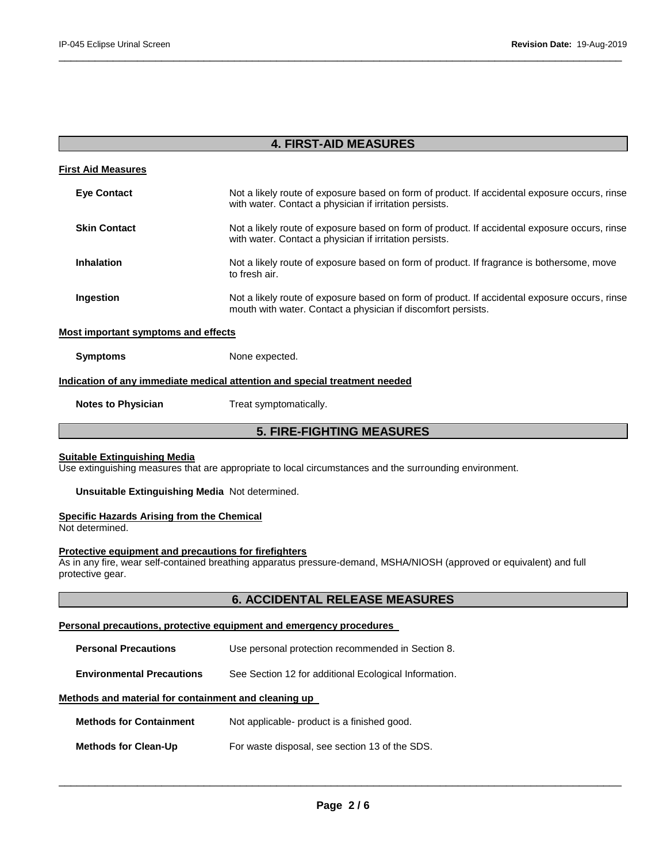| <b>4. FIRST-AID MEASURES</b>               |                                                                                                                                                                |
|--------------------------------------------|----------------------------------------------------------------------------------------------------------------------------------------------------------------|
| <b>First Aid Measures</b>                  |                                                                                                                                                                |
| <b>Eye Contact</b>                         | Not a likely route of exposure based on form of product. If accidental exposure occurs, rinse<br>with water. Contact a physician if irritation persists.       |
| <b>Skin Contact</b>                        | Not a likely route of exposure based on form of product. If accidental exposure occurs, rinse<br>with water. Contact a physician if irritation persists.       |
| <b>Inhalation</b>                          | Not a likely route of exposure based on form of product. If fragrance is bothersome, move<br>to fresh air.                                                     |
| Ingestion                                  | Not a likely route of exposure based on form of product. If accidental exposure occurs, rinse<br>mouth with water. Contact a physician if discomfort persists. |
| <b>Most important symptoms and effects</b> |                                                                                                                                                                |
| <b>Symptoms</b>                            | None expected.                                                                                                                                                 |
|                                            | <u>Indication of any immediate medical attention and special treatment needed</u>                                                                              |
| <b>Notes to Physician</b>                  | Treat symptomatically.                                                                                                                                         |
| <b>5. FIRE-FIGHTING MEASURES</b>           |                                                                                                                                                                |
|                                            |                                                                                                                                                                |

\_\_\_\_\_\_\_\_\_\_\_\_\_\_\_\_\_\_\_\_\_\_\_\_\_\_\_\_\_\_\_\_\_\_\_\_\_\_\_\_\_\_\_\_\_\_\_\_\_\_\_\_\_\_\_\_\_\_\_\_\_\_\_\_\_\_\_\_\_\_\_\_\_\_\_\_\_\_\_\_\_\_\_\_\_\_\_\_\_\_\_\_\_

#### **Suitable Extinguishing Media**

Use extinguishing measures that are appropriate to local circumstances and the surrounding environment.

#### **Unsuitable Extinguishing Media** Not determined.

#### **Specific Hazards Arising from the Chemical**

Not determined.

#### **Protective equipment and precautions for firefighters**

As in any fire, wear self-contained breathing apparatus pressure-demand, MSHA/NIOSH (approved or equivalent) and full protective gear.

# **6. ACCIDENTAL RELEASE MEASURES**

#### **Personal precautions, protective equipment and emergency procedures**

| <b>Personal Precautions</b>                          | Use personal protection recommended in Section 8.     |
|------------------------------------------------------|-------------------------------------------------------|
| <b>Environmental Precautions</b>                     | See Section 12 for additional Ecological Information. |
| Methods and material for containment and cleaning up |                                                       |
| <b>Methods for Containment</b>                       | Not applicable- product is a finished good.           |
| <b>Methods for Clean-Up</b>                          | For waste disposal, see section 13 of the SDS.        |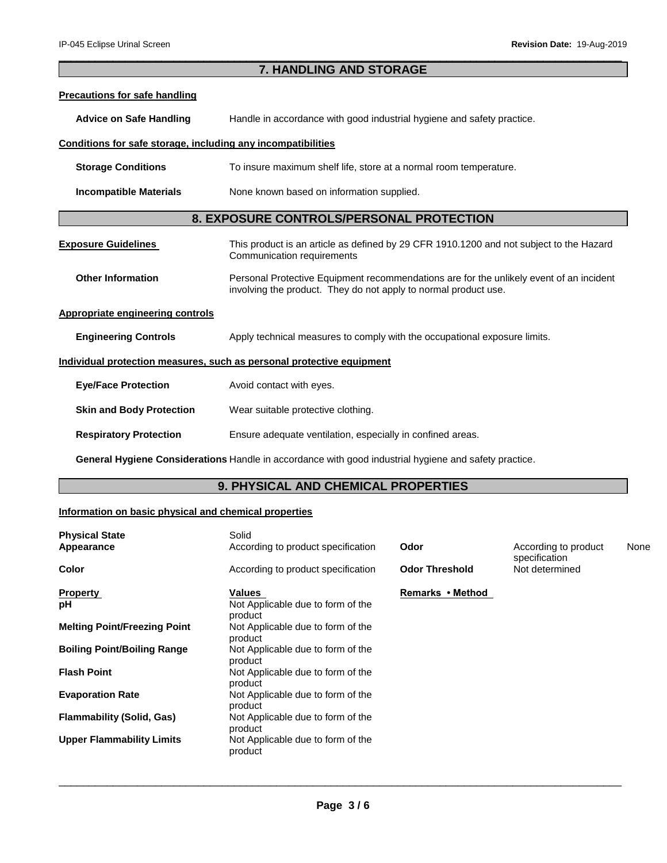# **7. HANDLING AND STORAGE Precautions for safe handling Advice on Safe Handling** Handle in accordance with good industrial hygiene and safety practice. **Conditions for safe storage, including any incompatibilities Storage Conditions** To insure maximum shelf life, store at a normal room temperature. **Incompatible Materials None known based on information supplied. 8. EXPOSURE CONTROLS/PERSONAL PROTECTION Exposure Guidelines** This product is an article as defined by 29 CFR 1910.1200 and not subject to the Hazard Communication requirements **Other Information Personal Protective Equipment recommendations are for the unlikely event of an incident** involving the product. They do not apply to normal product use. **Appropriate engineering controls Engineering Controls Apply technical measures to comply with the occupational exposure limits. Individual protection measures, such as personal protective equipment Eye/Face Protection** Avoid contact with eyes. **Skin and Body Protection** Wear suitable protective clothing. **Respiratory Protection** Ensure adequate ventilation, especially in confined areas.

\_\_\_\_\_\_\_\_\_\_\_\_\_\_\_\_\_\_\_\_\_\_\_\_\_\_\_\_\_\_\_\_\_\_\_\_\_\_\_\_\_\_\_\_\_\_\_\_\_\_\_\_\_\_\_\_\_\_\_\_\_\_\_\_\_\_\_\_\_\_\_\_\_\_\_\_\_\_\_\_\_\_\_\_\_\_\_\_\_\_\_\_\_

**General Hygiene Considerations** Handle in accordance with good industrial hygiene and safety practice.

# **9. PHYSICAL AND CHEMICAL PROPERTIES**

#### **Information on basic physical and chemical properties**

| <b>Physical State</b>               | Solid                                        |                       |                                       |      |
|-------------------------------------|----------------------------------------------|-----------------------|---------------------------------------|------|
| Appearance                          | According to product specification           | Odor                  | According to product<br>specification | None |
| <b>Color</b>                        | According to product specification           | <b>Odor Threshold</b> | Not determined                        |      |
| <b>Property</b>                     | Values                                       | Remarks • Method      |                                       |      |
| рH                                  | Not Applicable due to form of the<br>product |                       |                                       |      |
| <b>Melting Point/Freezing Point</b> | Not Applicable due to form of the<br>product |                       |                                       |      |
| <b>Boiling Point/Boiling Range</b>  | Not Applicable due to form of the<br>product |                       |                                       |      |
| <b>Flash Point</b>                  | Not Applicable due to form of the<br>product |                       |                                       |      |
| <b>Evaporation Rate</b>             | Not Applicable due to form of the<br>product |                       |                                       |      |
| <b>Flammability (Solid, Gas)</b>    | Not Applicable due to form of the<br>product |                       |                                       |      |
| <b>Upper Flammability Limits</b>    | Not Applicable due to form of the<br>product |                       |                                       |      |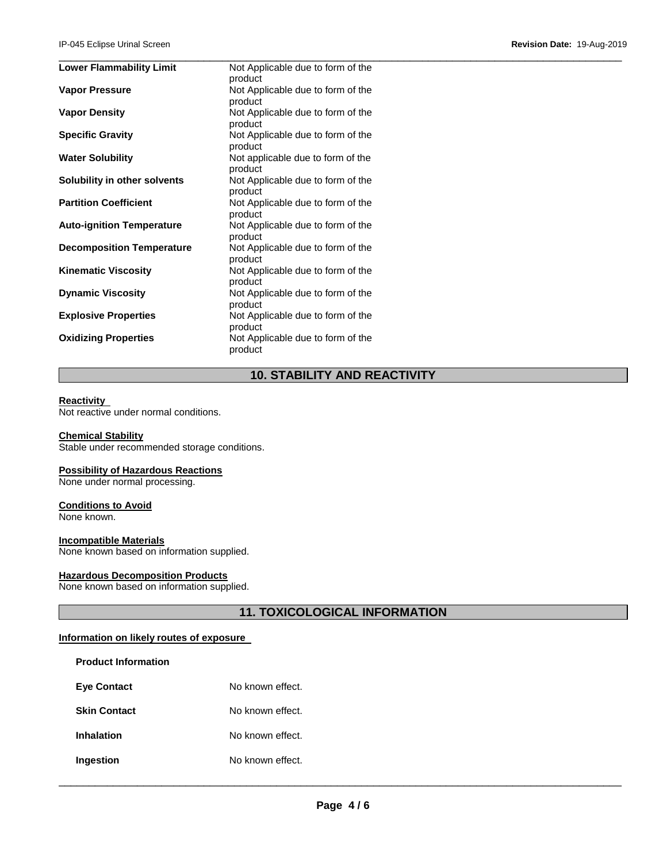| <b>Lower Flammability Limit</b>  | Not Applicable due to form of the |  |
|----------------------------------|-----------------------------------|--|
|                                  | product                           |  |
| <b>Vapor Pressure</b>            | Not Applicable due to form of the |  |
|                                  | product                           |  |
| <b>Vapor Density</b>             | Not Applicable due to form of the |  |
|                                  | product                           |  |
| <b>Specific Gravity</b>          | Not Applicable due to form of the |  |
|                                  | product                           |  |
| <b>Water Solubility</b>          | Not applicable due to form of the |  |
|                                  | product                           |  |
| Solubility in other solvents     | Not Applicable due to form of the |  |
|                                  | product                           |  |
| <b>Partition Coefficient</b>     | Not Applicable due to form of the |  |
|                                  | product                           |  |
| <b>Auto-ignition Temperature</b> | Not Applicable due to form of the |  |
|                                  | product                           |  |
| <b>Decomposition Temperature</b> | Not Applicable due to form of the |  |
|                                  | product                           |  |
| <b>Kinematic Viscosity</b>       | Not Applicable due to form of the |  |
|                                  | product                           |  |
| <b>Dynamic Viscosity</b>         | Not Applicable due to form of the |  |
|                                  | product                           |  |
| <b>Explosive Properties</b>      | Not Applicable due to form of the |  |
|                                  | product                           |  |
| <b>Oxidizing Properties</b>      | Not Applicable due to form of the |  |
|                                  | product                           |  |

# **10. STABILITY AND REACTIVITY**

#### **Reactivity**

Not reactive under normal conditions.

#### **Chemical Stability**

Stable under recommended storage conditions.

#### **Possibility of Hazardous Reactions**

None under normal processing.

#### **Conditions to Avoid**

None known.

#### **Incompatible Materials**

None known based on information supplied.

#### **Hazardous Decomposition Products**

None known based on information supplied.

**11. TOXICOLOGICAL INFORMATION** 

#### **Information on likely routes of exposure**

| <b>Product Information</b> |                  |
|----------------------------|------------------|
| <b>Eve Contact</b>         | No known effect. |
| <b>Skin Contact</b>        | No known effect. |
| <b>Inhalation</b>          | No known effect. |
| Ingestion                  | No known effect. |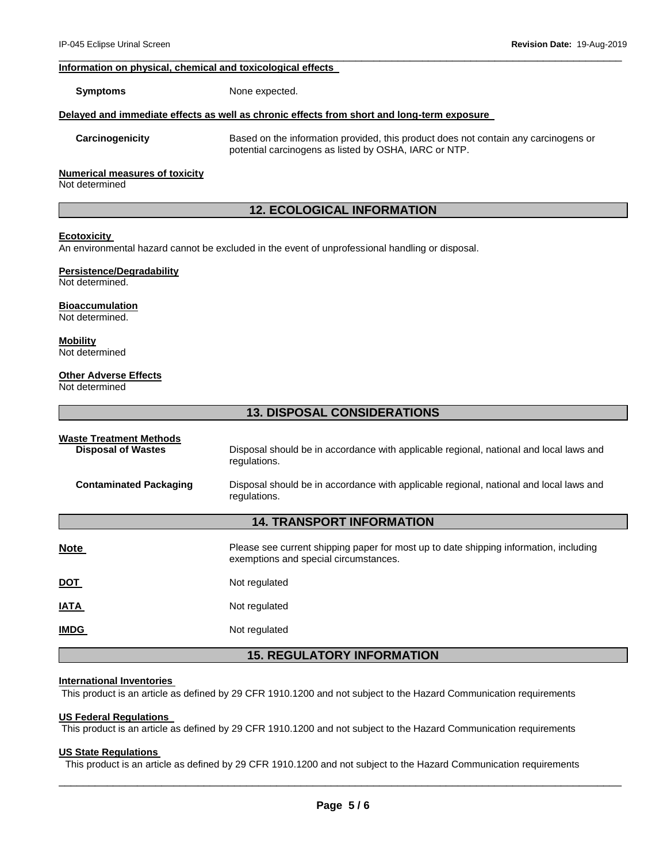#### **Information on physical, chemical and toxicological effects**

**Symptoms** None expected.

#### **Delayed and immediate effects as well as chronic effects from short and long-term exposure**

**Carcinogenicity** Based on the information provided, this product does not contain any carcinogens or potential carcinogens as listed by OSHA, IARC or NTP.

#### **Numerical measures of toxicity**

Not determined

# **12. ECOLOGICAL INFORMATION**

\_\_\_\_\_\_\_\_\_\_\_\_\_\_\_\_\_\_\_\_\_\_\_\_\_\_\_\_\_\_\_\_\_\_\_\_\_\_\_\_\_\_\_\_\_\_\_\_\_\_\_\_\_\_\_\_\_\_\_\_\_\_\_\_\_\_\_\_\_\_\_\_\_\_\_\_\_\_\_\_\_\_\_\_\_\_\_\_\_\_\_\_\_

#### **Ecotoxicity**

An environmental hazard cannot be excluded in the event of unprofessional handling or disposal.

#### **Persistence/Degradability**

Not determined.

#### **Bioaccumulation**

Not determined.

#### **Mobility** Not determined

#### **Other Adverse Effects**

Not determined

#### **13. DISPOSAL CONSIDERATIONS**

| <b>Waste Treatment Methods</b><br><b>Disposal of Wastes</b><br><b>Contaminated Packaging</b> | Disposal should be in accordance with applicable regional, national and local laws and<br>regulations.<br>Disposal should be in accordance with applicable regional, national and local laws and<br>regulations. |
|----------------------------------------------------------------------------------------------|------------------------------------------------------------------------------------------------------------------------------------------------------------------------------------------------------------------|
|                                                                                              | <b>14. TRANSPORT INFORMATION</b>                                                                                                                                                                                 |
| <b>Note</b>                                                                                  | Please see current shipping paper for most up to date shipping information, including<br>exemptions and special circumstances.                                                                                   |
| <u>DOT</u>                                                                                   | Not regulated                                                                                                                                                                                                    |
| IATA                                                                                         | Not regulated                                                                                                                                                                                                    |
| <b>IMDG</b>                                                                                  | Not regulated                                                                                                                                                                                                    |

# **15. REGULATORY INFORMATION**

#### **International Inventories**

This product is an article as defined by 29 CFR 1910.1200 and not subject to the Hazard Communication requirements

# **US Federal Regulations**

This product is an article as defined by 29 CFR 1910.1200 and not subject to the Hazard Communication requirements

#### **US State Regulations**

This product is an article as defined by 29 CFR 1910.1200 and not subject to the Hazard Communication requirements